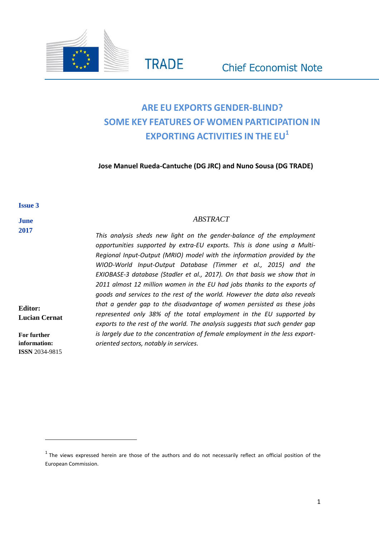

# **ARE EU EXPORTS GENDER-BLIND? SOME KEY FEATURES OF WOMEN PARTICIPATION IN EXPORTING ACTIVITIES IN THE EU<sup>1</sup>**

**Jose Manuel Rueda-Cantuche (DG JRC) and Nuno Sousa (DG TRADE)**

#### **Issue 3**

#### **June 2017**

**Editor: Lucian Cernat**

**For further information: ISSN** 2034-9815

 $\overline{a}$ 

#### *ABSTRACT*

*This analysis sheds new light on the gender-balance of the employment opportunities supported by extra-EU exports. This is done using a Multi-Regional Input-Output (MRIO) model with the information provided by the WIOD-World Input-Output Database (Timmer et al., 2015) and the EXIOBASE-3 database (Stadler et al., 2017). On that basis we show that in 2011 almost 12 million women in the EU had jobs thanks to the exports of goods and services to the rest of the world. However the data also reveals that a gender gap to the disadvantage of women persisted as these jobs represented only 38% of the total employment in the EU supported by exports to the rest of the world. The analysis suggests that such gender gap is largely due to the concentration of female employment in the less exportoriented sectors, notably in services.*

 $<sup>1</sup>$  The views expressed herein are those of the authors and do not necessarily reflect an official position of the</sup> European Commission.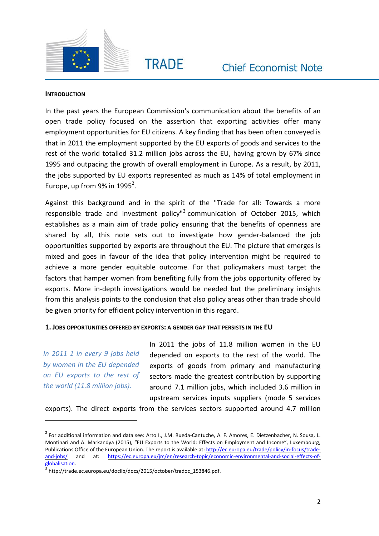



#### **INTRODUCTION**

In the past years the European Commission's communication about the benefits of an open trade policy focused on the assertion that exporting activities offer many employment opportunities for EU citizens. A key finding that has been often conveyed is that in 2011 the employment supported by the EU exports of goods and services to the rest of the world totalled 31.2 million jobs across the EU, having grown by 67% since 1995 and outpacing the growth of overall employment in Europe. As a result, by 2011, the jobs supported by EU exports represented as much as 14% of total employment in Europe, up from 9% in 1995<sup>2</sup>.

Against this background and in the spirit of the "Trade for all: Towards a more responsible trade and investment policy"<sup>3</sup> communication of October 2015, which establishes as a main aim of trade policy ensuring that the benefits of openness are shared by all, this note sets out to investigate how gender-balanced the job opportunities supported by exports are throughout the EU. The picture that emerges is mixed and goes in favour of the idea that policy intervention might be required to achieve a more gender equitable outcome. For that policymakers must target the factors that hamper women from benefiting fully from the jobs opportunity offered by exports. More in-depth investigations would be needed but the preliminary insights from this analysis points to the conclusion that also policy areas other than trade should be given priority for efficient policy intervention in this regard.

#### **1. JOBS OPPORTUNITIES OFFERED BY EXPORTS: A GENDER GAP THAT PERSISTS IN THE EU**

*In 2011 1 in every 9 jobs held by women in the EU depended on EU exports to the rest of the world (11.8 million jobs).*

 $\overline{a}$ 

In 2011 the jobs of 11.8 million women in the EU depended on exports to the rest of the world. The exports of goods from primary and manufacturing sectors made the greatest contribution by supporting around 7.1 million jobs, which included 3.6 million in upstream services inputs suppliers (mode 5 services

exports). The direct exports from the services sectors supported around 4.7 million

 $^2$  For additional information and data see: Arto I., J.M. Rueda-Cantuche, A. F. Amores, E. Dietzenbacher, N. Sousa, L. Montinari and A. Markandya (2015), "EU Exports to the World: Effects on Employment and Income", Luxembourg, Publications Office of the European Union. The report is available at: [http://ec.europa.eu/trade/policy/in-focus/trade](http://ec.europa.eu/trade/policy/in-focus/trade-and-jobs/)[and-jobs/](http://ec.europa.eu/trade/policy/in-focus/trade-and-jobs/) and at: [https://ec.europa.eu/jrc/en/research-topic/economic-environmental-and-social-effects-of](https://ec.europa.eu/jrc/en/research-topic/economic-environmental-and-social-effects-of-globalisation)[globalisation.](https://ec.europa.eu/jrc/en/research-topic/economic-environmental-and-social-effects-of-globalisation)

<sup>3</sup> [http://trade.ec.europa.eu/doclib/docs/2015/october/tradoc\\_153846.pdf.](http://trade.ec.europa.eu/doclib/docs/2015/october/tradoc_153846.pdf)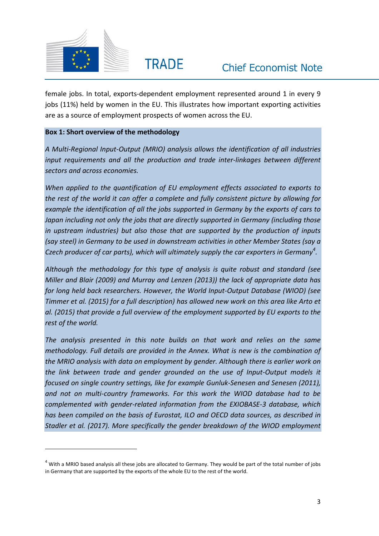

 $\overline{a}$ 

female jobs. In total, exports-dependent employment represented around 1 in every 9 jobs (11%) held by women in the EU. This illustrates how important exporting activities are as a source of employment prospects of women across the EU.

#### **Box 1: Short overview of the methodology**

*A Multi-Regional Input-Output (MRIO) analysis allows the identification of all industries input requirements and all the production and trade inter-linkages between different sectors and across economies.*

*When applied to the quantification of EU employment effects associated to exports to the rest of the world it can offer a complete and fully consistent picture by allowing for example the identification of all the jobs supported in Germany by the exports of cars to Japan including not only the jobs that are directly supported in Germany (including those in upstream industries) but also those that are supported by the production of inputs (say steel) in Germany to be used in downstream activities in other Member States (say a Czech producer of car parts), which will ultimately supply the car exporters in Germany<sup>4</sup> .*

*Although the methodology for this type of analysis is quite robust and standard (see Miller and Blair (2009) and Murray and Lenzen (2013)) the lack of appropriate data has for long held back researchers. However, the World Input-Output Database (WIOD) (see Timmer et al. (2015) for a full description) has allowed new work on this area like Arto et al. (2015) that provide a full overview of the employment supported by EU exports to the rest of the world.*

*The analysis presented in this note builds on that work and relies on the same methodology. Full details are provided in the Annex. What is new is the combination of the MRIO analysis with data on employment by gender. Although there is earlier work on the link between trade and gender grounded on the use of Input-Output models it focused on single country settings, like for example Gunluk-Senesen and Senesen (2011), and not on multi-country frameworks. For this work the WIOD database had to be complemented with gender-related information from the EXIOBASE-3 database, which has been compiled on the basis of Eurostat, ILO and OECD data sources, as described in Stadler et al. (2017). More specifically the gender breakdown of the WIOD employment*

 $4$  With a MRIO based analysis all these jobs are allocated to Germany. They would be part of the total number of jobs in Germany that are supported by the exports of the whole EU to the rest of the world.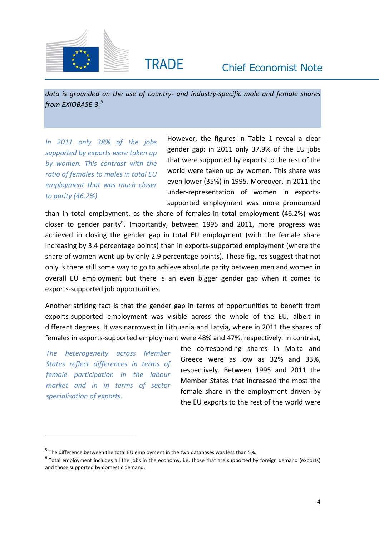



*data is grounded on the use of country- and industry-specific male and female shares from EXIOBASE-3.<sup>5</sup>*

**TRADE** 

*In 2011 only 38% of the jobs supported by exports were taken up by women. This contrast with the ratio of females to males in total EU employment that was much closer to parity (46.2%).*

However, the figures in Table 1 reveal a clear gender gap: in 2011 only 37.9% of the EU jobs that were supported by exports to the rest of the world were taken up by women. This share was even lower (35%) in 1995. Moreover, in 2011 the under-representation of women in exportssupported employment was more pronounced

than in total employment, as the share of females in total employment (46.2%) was closer to gender parity<sup>6</sup>. Importantly, between 1995 and 2011, more progress was achieved in closing the gender gap in total EU employment (with the female share increasing by 3.4 percentage points) than in exports-supported employment (where the share of women went up by only 2.9 percentage points). These figures suggest that not only is there still some way to go to achieve absolute parity between men and women in overall EU employment but there is an even bigger gender gap when it comes to exports-supported job opportunities.

Another striking fact is that the gender gap in terms of opportunities to benefit from exports-supported employment was visible across the whole of the EU, albeit in different degrees. It was narrowest in Lithuania and Latvia, where in 2011 the shares of females in exports-supported employment were 48% and 47%, respectively. In contrast,

*The heterogeneity across Member States reflect differences in terms of female participation in the labour market and in in terms of sector specialisation of exports.*

 $\overline{a}$ 

the corresponding shares in Malta and Greece were as low as 32% and 33%, respectively. Between 1995 and 2011 the Member States that increased the most the female share in the employment driven by the EU exports to the rest of the world were

 $<sup>5</sup>$  The difference between the total EU employment in the two databases was less than 5%.</sup>

 $^6$  Total employment includes all the jobs in the economy, i.e. those that are supported by foreign demand (exports) and those supported by domestic demand.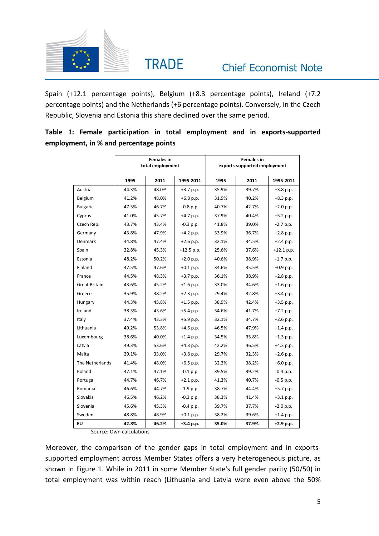

Spain (+12.1 percentage points), Belgium (+8.3 percentage points), Ireland (+7.2 percentage points) and the Netherlands (+6 percentage points). Conversely, in the Czech Republic, Slovenia and Estonia this share declined over the same period.

**Table 1: Female participation in total employment and in exports-supported employment, in % and percentage points**

|                 |       | <b>Females in</b><br>total employment |             | <b>Females in</b><br>exports-supported employment |       |              |  |  |  |
|-----------------|-------|---------------------------------------|-------------|---------------------------------------------------|-------|--------------|--|--|--|
|                 | 1995  | 2011                                  | 1995-2011   | 1995                                              | 2011  | 1995-2011    |  |  |  |
| Austria         | 44.3% | 48.0%                                 | $+3.7$ p.p. | 35.9%                                             | 39.7% | $+3.8$ p.p.  |  |  |  |
| Belgium         | 41.2% | 48.0%                                 | $+6.8$ p.p. | 31.9%                                             | 40.2% | $+8.3$ p.p.  |  |  |  |
| <b>Bulgaria</b> | 47.5% | 46.7%                                 | $-0.8$ p.p. | 40.7%                                             | 42.7% | $+2.0 p.p.$  |  |  |  |
| Cyprus          | 41.0% | 45.7%                                 | $+4.7$ p.p. | 37.9%                                             | 40.4% | $+5.2 p.p.$  |  |  |  |
| Czech Rep.      | 43.7% | 43.4%                                 | $-0.3$ p.p. | 41.8%                                             | 39.0% | $-2.7 p.p.$  |  |  |  |
| Germany         | 43.8% | 47.9%                                 | $+4.2$ p.p. | 33.9%                                             | 36.7% | $+2.8 p.p.$  |  |  |  |
| Denmark         | 44.8% | 47.4%                                 | $+2.6$ p.p. | 32.1%                                             | 34.5% | $+2.4 p.p.$  |  |  |  |
| Spain           | 32.8% | 45.3%                                 | +12.5 p.p.  | 25.6%                                             | 37.6% | $+12.1$ p.p. |  |  |  |
| Estonia         | 48.2% | 50.2%                                 | $+2.0 p.p.$ | 40.6%                                             | 38.9% | $-1.7 p.p.$  |  |  |  |
| Finland         | 47.5% | 47.6%                                 | $+0.1$ p.p. | 34.6%                                             | 35.5% | +0.9 p.p.    |  |  |  |
| France          | 44.5% | 48.3%                                 | +3.7 p.p.   | 36.1%                                             | 38.9% | +2.8 p.p.    |  |  |  |
| Great Britain   | 43.6% | 45.2%                                 | $+1.6$ p.p. | 33.0%                                             | 34.6% | $+1.6$ p.p.  |  |  |  |
| Greece          | 35.9% | 38.2%                                 | $+2.3$ p.p. | 29.4%                                             | 32.8% | +3.4 p.p.    |  |  |  |
| Hungary         | 44.3% | 45.8%                                 | $+1.5$ p.p. | 38.9%                                             | 42.4% | $+3.5$ p.p.  |  |  |  |
| Ireland         | 38.3% | 43.6%                                 | $+5.4$ p.p. | 34.6%                                             | 41.7% | +7.2 p.p.    |  |  |  |
| Italy           | 37.4% | 43.3%                                 | $+5.9$ p.p. | 32.1%                                             | 34.7% | $+2.6$ p.p.  |  |  |  |
| Lithuania       | 49.2% | 53.8%                                 | $+4.6$ p.p. | 46.5%                                             | 47.9% | $+1.4 p.p.$  |  |  |  |
| Luxembourg      | 38.6% | 40.0%                                 | $+1.4 p.p.$ | 34.5%                                             | 35.8% | $+1.3 p.p.$  |  |  |  |
| Latvia          | 49.3% | 53.6%                                 | +4.3 p.p.   | 42.2%                                             | 46.5% | +4.3 p.p.    |  |  |  |
| Malta           | 29.1% | 33.0%                                 | $+3.8$ p.p. | 29.7%                                             | 32.3% | $+2.6$ p.p.  |  |  |  |
| The Netherlands | 41.4% | 48.0%                                 | +6.5 p.p.   | 32.2%                                             | 38.2% | +6.0 p.p.    |  |  |  |
| Poland          | 47.1% | 47.1%                                 | $-0.1 p.p.$ | 39.5%                                             | 39.2% | $-0.4 p.p.$  |  |  |  |
| Portugal        | 44.7% | 46.7%                                 | $+2.1 p.p.$ | 41.3%                                             | 40.7% | $-0.5$ p.p.  |  |  |  |
| Romania         | 46.6% | 44.7%                                 | $-1.9 p.p.$ | 38.7%                                             | 44.4% | $+5.7 p.p.$  |  |  |  |
| Slovakia        | 46.5% | 46.2%                                 | $-0.3$ p.p. | 38.3%                                             | 41.4% | $+3.1 p.p.$  |  |  |  |
| Slovenia        | 45.6% | 45.3%                                 | $-0.4 p.p.$ | 39.7%                                             | 37.7% | $-2.0 p.p.$  |  |  |  |
| Sweden          | 48.8% | 48.9%                                 | $+0.1 p.p.$ | 38.2%                                             | 39.6% | $+1.4 p.p.$  |  |  |  |
| EU              | 42.8% | 46.2%                                 | +3.4 p.p.   | 35.0%                                             | 37.9% | $+2.9 p.p.$  |  |  |  |

Source: Own calculations

Moreover, the comparison of the gender gaps in total employment and in exportssupported employment across Member States offers a very heterogeneous picture, as shown in Figure 1. While in 2011 in some Member State's full gender parity (50/50) in total employment was within reach (Lithuania and Latvia were even above the 50%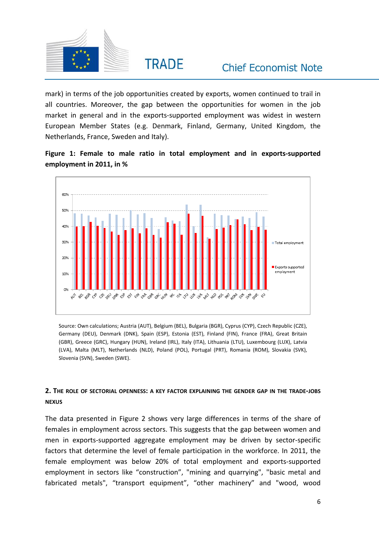

mark) in terms of the job opportunities created by exports, women continued to trail in all countries. Moreover, the gap between the opportunities for women in the job market in general and in the exports-supported employment was widest in western European Member States (e.g. Denmark, Finland, Germany, United Kingdom, the Netherlands, France, Sweden and Italy).





Source: Own calculations; Austria (AUT), Belgium (BEL), Bulgaria (BGR), Cyprus (CYP), Czech Republic (CZE), Germany (DEU), Denmark (DNK), Spain (ESP), Estonia (EST), Finland (FIN), France (FRA), Great Britain (GBR), Greece (GRC), Hungary (HUN), Ireland (IRL), Italy (ITA), Lithuania (LTU), Luxembourg (LUX), Latvia (LVA), Malta (MLT), Netherlands (NLD), Poland (POL), Portugal (PRT), Romania (ROM), Slovakia (SVK), Slovenia (SVN), Sweden (SWE).

### 2. THE ROLE OF SECTORIAL OPENNESS: A KEY FACTOR EXPLAINING THE GENDER GAP IN THE TRADE-JOBS **NEXUS**

The data presented in Figure 2 shows very large differences in terms of the share of females in employment across sectors. This suggests that the gap between women and men in exports-supported aggregate employment may be driven by sector-specific factors that determine the level of female participation in the workforce. In 2011, the female employment was below 20% of total employment and exports-supported employment in sectors like "construction", "mining and quarrying", "basic metal and fabricated metals", "transport equipment", "other machinery" and "wood, wood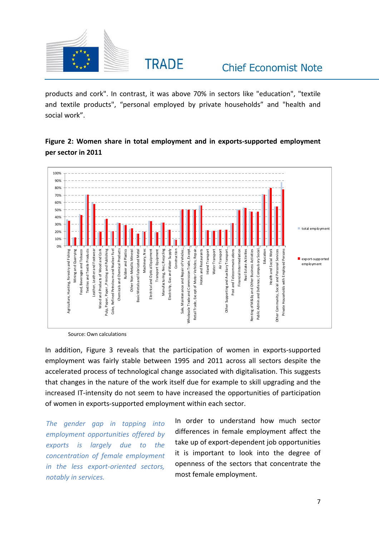

products and cork". In contrast, it was above 70% in sectors like "education", "textile and textile products", "personal employed by private households" and "health and social work".

## **Figure 2: Women share in total employment and in exports-supported employment per sector in 2011**



Source: Own calculations

In addition, Figure 3 reveals that the participation of women in exports-supported employment was fairly stable between 1995 and 2011 across all sectors despite the accelerated process of technological change associated with digitalisation. This suggests that changes in the nature of the work itself due for example to skill upgrading and the increased IT-intensity do not seem to have increased the opportunities of participation of women in exports-supported employment within each sector.

*The gender gap in tapping into employment opportunities offered by exports is largely due to the concentration of female employment in the less export-oriented sectors, notably in services.* 

In order to understand how much sector differences in female employment affect the take up of export-dependent job opportunities it is important to look into the degree of openness of the sectors that concentrate the most female employment.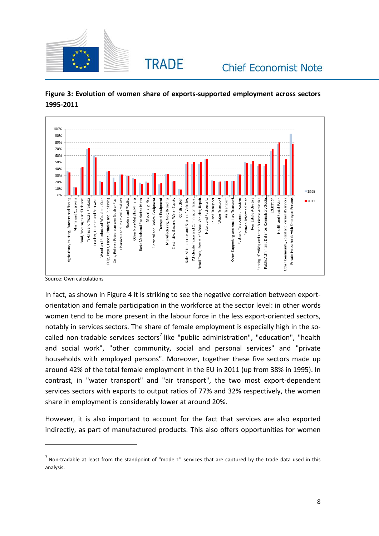



**Figure 3: Evolution of women share of exports-supported employment across sectors 1995-2011**

Source: Own calculations

 $\overline{a}$ 

In fact, as shown in Figure 4 it is striking to see the negative correlation between exportorientation and female participation in the workforce at the sector level: in other words women tend to be more present in the labour force in the less export-oriented sectors, notably in services sectors. The share of female employment is especially high in the socalled non-tradable services sectors<sup>7</sup> like "public administration", "education", "health and social work", "other community, social and personal services" and "private households with employed persons". Moreover, together these five sectors made up around 42% of the total female employment in the EU in 2011 (up from 38% in 1995). In contrast, in "water transport" and "air transport", the two most export-dependent services sectors with exports to output ratios of 77% and 32% respectively, the women share in employment is considerably lower at around 20%.

However, it is also important to account for the fact that services are also exported indirectly, as part of manufactured products. This also offers opportunities for women

 $^7$  Non-tradable at least from the standpoint of "mode 1" services that are captured by the trade data used in this analysis.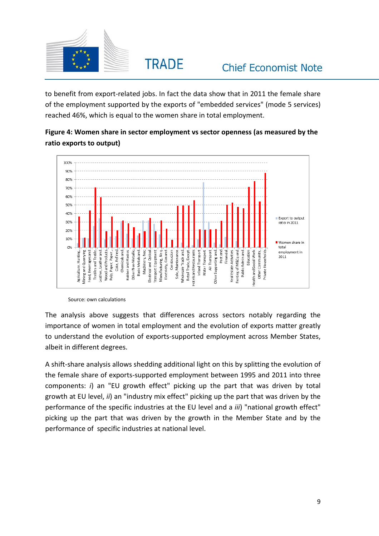**TRADE** 

to benefit from export-related jobs. In fact the data show that in 2011 the female share of the employment supported by the exports of "embedded services" (mode 5 services) reached 46%, which is equal to the women share in total employment.

## **Figure 4: Women share in sector employment vs sector openness (as measured by the ratio exports to output)**



Source: own calculations

The analysis above suggests that differences across sectors notably regarding the importance of women in total employment and the evolution of exports matter greatly to understand the evolution of exports-supported employment across Member States, albeit in different degrees.

A shift-share analysis allows shedding additional light on this by splitting the evolution of the female share of exports-supported employment between 1995 and 2011 into three components: *i*) an "EU growth effect" picking up the part that was driven by total growth at EU level, *ii*) an "industry mix effect" picking up the part that was driven by the performance of the specific industries at the EU level and a *iii*) "national growth effect" picking up the part that was driven by the growth in the Member State and by the performance of specific industries at national level.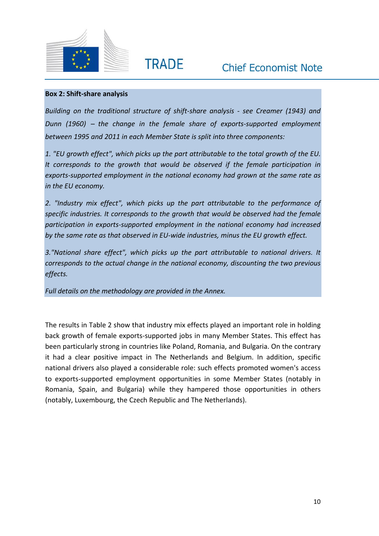



#### **Box 2: Shift-share analysis**

*Building on the traditional structure of shift-share analysis - see Creamer (1943) and Dunn (1960)* – *the change in the female share of exports-supported employment between 1995 and 2011 in each Member State is split into three components:*

*1. "EU growth effect", which picks up the part attributable to the total growth of the EU. It corresponds to the growth that would be observed if the female participation in exports-supported employment in the national economy had grown at the same rate as in the EU economy.*

*2. "Industry mix effect", which picks up the part attributable to the performance of specific industries. It corresponds to the growth that would be observed had the female participation in exports-supported employment in the national economy had increased by the same rate as that observed in EU-wide industries, minus the EU growth effect.*

*3."National share effect", which picks up the part attributable to national drivers. It corresponds to the actual change in the national economy, discounting the two previous effects.*

*Full details on the methodology are provided in the Annex.*

The results in Table 2 show that industry mix effects played an important role in holding back growth of female exports-supported jobs in many Member States. This effect has been particularly strong in countries like Poland, Romania, and Bulgaria. On the contrary it had a clear positive impact in The Netherlands and Belgium. In addition, specific national drivers also played a considerable role: such effects promoted women's access to exports-supported employment opportunities in some Member States (notably in Romania, Spain, and Bulgaria) while they hampered those opportunities in others (notably, Luxembourg, the Czech Republic and The Netherlands).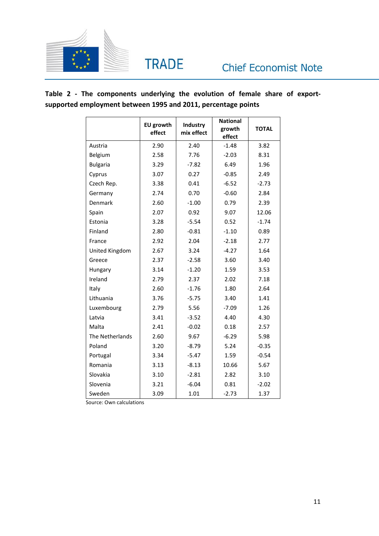

**Table 2 - The components underlying the evolution of female share of exportsupported employment between 1995 and 2011, percentage points**

|                 | <b>EU growth</b><br>effect | Industry<br>mix effect | <b>National</b><br>growth<br>effect | <b>TOTAL</b> |
|-----------------|----------------------------|------------------------|-------------------------------------|--------------|
| Austria         | 2.90                       | 2.40                   | $-1.48$                             | 3.82         |
| Belgium         | 2.58                       | 7.76                   | $-2.03$                             | 8.31         |
| <b>Bulgaria</b> | 3.29                       | $-7.82$                | 6.49                                | 1.96         |
| Cyprus          | 3.07                       | 0.27                   | $-0.85$                             | 2.49         |
| Czech Rep.      | 3.38                       | 0.41                   | $-6.52$                             | $-2.73$      |
| Germany         | 2.74                       | 0.70                   | $-0.60$                             | 2.84         |
| Denmark         | 2.60                       | $-1.00$                | 0.79                                | 2.39         |
| Spain           | 2.07                       | 0.92                   | 9.07                                | 12.06        |
| Estonia         | 3.28                       | $-5.54$                | 0.52                                | $-1.74$      |
| Finland         | 2.80                       | $-0.81$                | $-1.10$                             | 0.89         |
| France          | 2.92                       | 2.04                   | $-2.18$                             | 2.77         |
| United Kingdom  | 2.67                       | 3.24                   | $-4.27$                             | 1.64         |
| Greece          | 2.37                       | $-2.58$                | 3.60                                | 3.40         |
| Hungary         | 3.14                       | $-1.20$                | 1.59                                | 3.53         |
| Ireland         | 2.79                       | 2.37                   | 2.02                                | 7.18         |
| Italy           | 2.60                       | $-1.76$                | 1.80                                | 2.64         |
| Lithuania       | 3.76                       | $-5.75$                | 3.40                                | 1.41         |
| Luxembourg      | 2.79                       | 5.56                   | $-7.09$                             | 1.26         |
| Latvia          | 3.41                       | $-3.52$                | 4.40                                | 4.30         |
| Malta           | 2.41                       | $-0.02$                | 0.18                                | 2.57         |
| The Netherlands | 2.60                       | 9.67                   | $-6.29$                             | 5.98         |
| Poland          | 3.20                       | $-8.79$                | 5.24                                | $-0.35$      |
| Portugal        | 3.34                       | $-5.47$                | 1.59                                | $-0.54$      |
| Romania         | 3.13                       | $-8.13$                | 10.66                               | 5.67         |
| Slovakia        | 3.10                       | $-2.81$                | 2.82                                | 3.10         |
| Slovenia        | 3.21                       | $-6.04$                | 0.81                                | $-2.02$      |
| Sweden          | 3.09                       | 1.01                   | $-2.73$                             | 1.37         |

Source: Own calculations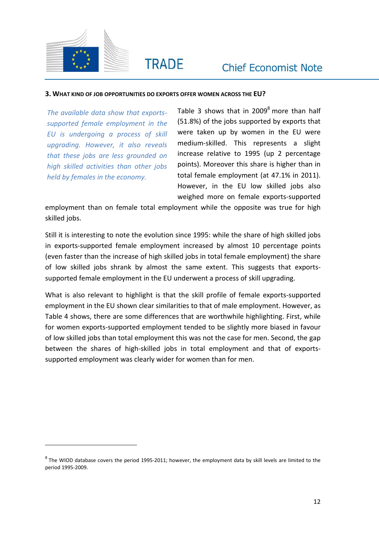

 $\overline{a}$ 

**TRADE** 

#### **3. WHAT KIND OF JOB OPPORTUNITIES DO EXPORTS OFFER WOMEN ACROSS THE EU?**

*The available data show that exportssupported female employment in the EU is undergoing a process of skill upgrading. However, it also reveals that these jobs are less grounded on high skilled activities than other jobs held by females in the economy.*

Table 3 shows that in  $2009<sup>8</sup>$  more than half (51.8%) of the jobs supported by exports that were taken up by women in the EU were medium-skilled. This represents a slight increase relative to 1995 (up 2 percentage points). Moreover this share is higher than in total female employment (at 47.1% in 2011). However, in the EU low skilled jobs also weighed more on female exports-supported

employment than on female total employment while the opposite was true for high skilled jobs.

Still it is interesting to note the evolution since 1995: while the share of high skilled jobs in exports-supported female employment increased by almost 10 percentage points (even faster than the increase of high skilled jobs in total female employment) the share of low skilled jobs shrank by almost the same extent. This suggests that exportssupported female employment in the EU underwent a process of skill upgrading.

What is also relevant to highlight is that the skill profile of female exports-supported employment in the EU shown clear similarities to that of male employment. However, as Table 4 shows, there are some differences that are worthwhile highlighting. First, while for women exports-supported employment tended to be slightly more biased in favour of low skilled jobs than total employment this was not the case for men. Second, the gap between the shares of high-skilled jobs in total employment and that of exportssupported employment was clearly wider for women than for men.

 $^8$  The WIOD database covers the period 1995-2011; however, the employment data by skill levels are limited to the period 1995-2009.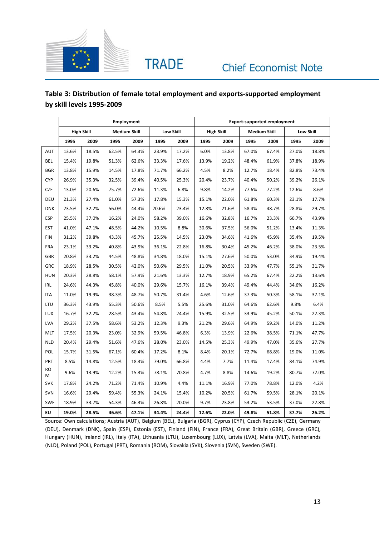

## **Table 3: Distribution of female total employment and exports-supported employment by skill levels 1995-2009**

|                | <b>Employment</b> |       |       |                     |       |           |                   | <b>Export-supported employment</b> |                     |       |           |       |  |  |
|----------------|-------------------|-------|-------|---------------------|-------|-----------|-------------------|------------------------------------|---------------------|-------|-----------|-------|--|--|
|                | <b>High Skill</b> |       |       | <b>Medium Skill</b> |       | Low Skill | <b>High Skill</b> |                                    | <b>Medium Skill</b> |       | Low Skill |       |  |  |
|                | 1995              | 2009  | 1995  | 2009                | 1995  | 2009      | 1995              | 2009                               | 1995                | 2009  | 1995      | 2009  |  |  |
| AUT            | 13.6%             | 18.5% | 62.5% | 64.3%               | 23.9% | 17.2%     | 6.0%              | 13.8%                              | 67.0%               | 67.4% | 27.0%     | 18.8% |  |  |
| <b>BEL</b>     | 15.4%             | 19.8% | 51.3% | 62.6%               | 33.3% | 17.6%     | 13.9%             | 19.2%                              | 48.4%               | 61.9% | 37.8%     | 18.9% |  |  |
| <b>BGR</b>     | 13.8%             | 15.9% | 14.5% | 17.8%               | 71.7% | 66.2%     | 4.5%              | 8.2%                               | 12.7%               | 18.4% | 82.8%     | 73.4% |  |  |
| <b>CYP</b>     | 26.9%             | 35.3% | 32.5% | 39.4%               | 40.5% | 25.3%     | 20.4%             | 23.7%                              | 40.4%               | 50.2% | 39.2%     | 26.1% |  |  |
| CZE            | 13.0%             | 20.6% | 75.7% | 72.6%               | 11.3% | 6.8%      | 9.8%              | 14.2%                              | 77.6%               | 77.2% | 12.6%     | 8.6%  |  |  |
| DEU            | 21.3%             | 27.4% | 61.0% | 57.3%               | 17.8% | 15.3%     | 15.1%             | 22.0%                              | 61.8%               | 60.3% | 23.1%     | 17.7% |  |  |
| <b>DNK</b>     | 23.5%             | 32.2% | 56.0% | 44.4%               | 20.6% | 23.4%     | 12.8%             | 21.6%                              | 58.4%               | 48.7% | 28.8%     | 29.7% |  |  |
| <b>ESP</b>     | 25.5%             | 37.0% | 16.2% | 24.0%               | 58.2% | 39.0%     | 16.6%             | 32.8%                              | 16.7%               | 23.3% | 66.7%     | 43.9% |  |  |
| <b>EST</b>     | 41.0%             | 47.1% | 48.5% | 44.2%               | 10.5% | 8.8%      | 30.6%             | 37.5%                              | 56.0%               | 51.2% | 13.4%     | 11.3% |  |  |
| <b>FIN</b>     | 31.2%             | 39.8% | 43.3% | 45.7%               | 25.5% | 14.5%     | 23.0%             | 34.6%                              | 41.6%               | 45.9% | 35.4%     | 19.5% |  |  |
| <b>FRA</b>     | 23.1%             | 33.2% | 40.8% | 43.9%               | 36.1% | 22.8%     | 16.8%             | 30.4%                              | 45.2%               | 46.2% | 38.0%     | 23.5% |  |  |
| GBR            | 20.8%             | 33.2% | 44.5% | 48.8%               | 34.8% | 18.0%     | 15.1%             | 27.6%                              | 50.0%               | 53.0% | 34.9%     | 19.4% |  |  |
| GRC            | 18.9%             | 28.5% | 30.5% | 42.0%               | 50.6% | 29.5%     | 11.0%             | 20.5%                              | 33.9%               | 47.7% | 55.1%     | 31.7% |  |  |
| <b>HUN</b>     | 20.3%             | 28.8% | 58.1% | 57.9%               | 21.6% | 13.3%     | 12.7%             | 18.9%                              | 65.2%               | 67.4% | 22.2%     | 13.6% |  |  |
| <b>IRL</b>     | 24.6%             | 44.3% | 45.8% | 40.0%               | 29.6% | 15.7%     | 16.1%             | 39.4%                              | 49.4%               | 44.4% | 34.6%     | 16.2% |  |  |
| <b>ITA</b>     | 11.0%             | 19.9% | 38.3% | 48.7%               | 50.7% | 31.4%     | 4.6%              | 12.6%                              | 37.3%               | 50.3% | 58.1%     | 37.1% |  |  |
| LTU            | 36.3%             | 43.9% | 55.3% | 50.6%               | 8.5%  | 5.5%      | 25.6%             | 31.0%                              | 64.6%               | 62.6% | 9.8%      | 6.4%  |  |  |
| LUX            | 16.7%             | 32.2% | 28.5% | 43.4%               | 54.8% | 24.4%     | 15.9%             | 32.5%                              | 33.9%               | 45.2% | 50.1%     | 22.3% |  |  |
| LVA            | 29.2%             | 37.5% | 58.6% | 53.2%               | 12.3% | 9.3%      | 21.2%             | 29.6%                              | 64.9%               | 59.2% | 14.0%     | 11.2% |  |  |
| <b>MLT</b>     | 17.5%             | 20.3% | 23.0% | 32.9%               | 59.5% | 46.8%     | 6.3%              | 13.9%                              | 22.6%               | 38.5% | 71.1%     | 47.7% |  |  |
| <b>NLD</b>     | 20.4%             | 29.4% | 51.6% | 47.6%               | 28.0% | 23.0%     | 14.5%             | 25.3%                              | 49.9%               | 47.0% | 35.6%     | 27.7% |  |  |
| POL            | 15.7%             | 31.5% | 67.1% | 60.4%               | 17.2% | 8.1%      | 8.4%              | 20.1%                              | 72.7%               | 68.8% | 19.0%     | 11.0% |  |  |
| PRT            | 8.5%              | 14.8% | 12.5% | 18.3%               | 79.0% | 66.8%     | 4.4%              | 7.7%                               | 11.4%               | 17.4% | 84.1%     | 74.9% |  |  |
| <b>RO</b><br>М | 9.6%              | 13.9% | 12.2% | 15.3%               | 78.1% | 70.8%     | 4.7%              | 8.8%                               | 14.6%               | 19.2% | 80.7%     | 72.0% |  |  |
| <b>SVK</b>     | 17.8%             | 24.2% | 71.2% | 71.4%               | 10.9% | 4.4%      | 11.1%             | 16.9%                              | 77.0%               | 78.8% | 12.0%     | 4.2%  |  |  |
| SVN            | 16.6%             | 29.4% | 59.4% | 55.3%               | 24.1% | 15.4%     | 10.2%             | 20.5%                              | 61.7%               | 59.5% | 28.1%     | 20.1% |  |  |
| SWE            | 18.9%             | 33.7% | 54.3% | 46.3%               | 26.8% | 20.0%     | 9.7%              | 23.8%                              | 53.2%               | 53.5% | 37.0%     | 22.8% |  |  |
| EU             | 19.0%             | 28.5% | 46.6% | 47.1%               | 34.4% | 24.4%     | 12.6%             | 22.0%                              | 49.8%               | 51.8% | 37.7%     | 26.2% |  |  |

Source: Own calculations; Austria (AUT), Belgium (BEL), Bulgaria (BGR), Cyprus (CYP), Czech Republic (CZE), Germany (DEU), Denmark (DNK), Spain (ESP), Estonia (EST), Finland (FIN), France (FRA), Great Britain (GBR), Greece (GRC), Hungary (HUN), Ireland (IRL), Italy (ITA), Lithuania (LTU), Luxembourg (LUX), Latvia (LVA), Malta (MLT), Netherlands (NLD), Poland (POL), Portugal (PRT), Romania (ROM), Slovakia (SVK), Slovenia (SVN), Sweden (SWE).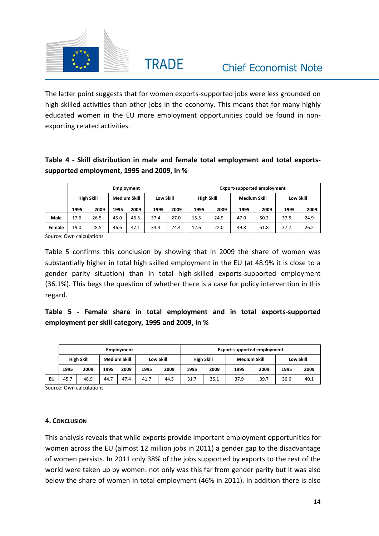

The latter point suggests that for women exports-supported jobs were less grounded on high skilled activities than other jobs in the economy. This means that for many highly educated women in the EU more employment opportunities could be found in nonexporting related activities.

## **Table 4 - Skill distribution in male and female total employment and total exportssupported employment, 1995 and 2009, in %**

|        |                   |      |                     | <b>Employment</b> |           |      | <b>Export-supported employment</b> |      |                     |      |           |      |  |
|--------|-------------------|------|---------------------|-------------------|-----------|------|------------------------------------|------|---------------------|------|-----------|------|--|
|        | <b>High Skill</b> |      | <b>Medium Skill</b> |                   | Low Skill |      | <b>High Skill</b>                  |      | <b>Medium Skill</b> |      | Low Skill |      |  |
|        | 1995              | 2009 | 1995                | 2009              | 1995      | 2009 | 1995                               | 2009 | 1995                | 2009 | 1995      | 2009 |  |
| Male   | 17.6              | 26.5 | 45.0                | 46.5              | 37.4      | 27.0 | 15.5                               | 24.9 | 47.0                | 50.2 | 37.5      | 24.9 |  |
| Female | 19.0              | 28.5 | 46.6                | 47.1              | 34.4      | 24.4 | 12.6                               | 22.0 | 49.8                | 51.8 | 37.7      | 26.2 |  |

Source: Own calculations

Table 5 confirms this conclusion by showing that in 2009 the share of women was substantially higher in total high skilled employment in the EU (at 48.9% it is close to a gender parity situation) than in total high-skilled exports-supported employment (36.1%). This begs the question of whether there is a case for policy intervention in this regard.

## **Table 5 - Female share in total employment and in total exports-supported employment per skill category, 1995 and 2009, in %**

|    | <b>Employment</b> |      |                     |      |                  |      |                   | <b>Export-supported employment</b> |                     |      |           |      |  |  |
|----|-------------------|------|---------------------|------|------------------|------|-------------------|------------------------------------|---------------------|------|-----------|------|--|--|
|    | <b>High Skill</b> |      | <b>Medium Skill</b> |      | <b>Low Skill</b> |      | <b>High Skill</b> |                                    | <b>Medium Skill</b> |      | Low Skill |      |  |  |
|    | 1995              | 2009 | 1995                | 2009 | 1995             | 2009 | 1995              | 2009                               | 1995                | 2009 | 1995      | 2009 |  |  |
| EU | 45.7              | 48.9 | 44.7                | 47.4 | 41.7             | 44.5 | 31.7              | 36.1                               | 37.9                | 39.7 | 36.6      | 40.1 |  |  |

Source: Own calculations

#### **4. CONCLUSION**

This analysis reveals that while exports provide important employment opportunities for women across the EU (almost 12 million jobs in 2011) a gender gap to the disadvantage of women persists. In 2011 only 38% of the jobs supported by exports to the rest of the world were taken up by women: not only was this far from gender parity but it was also below the share of women in total employment (46% in 2011). In addition there is also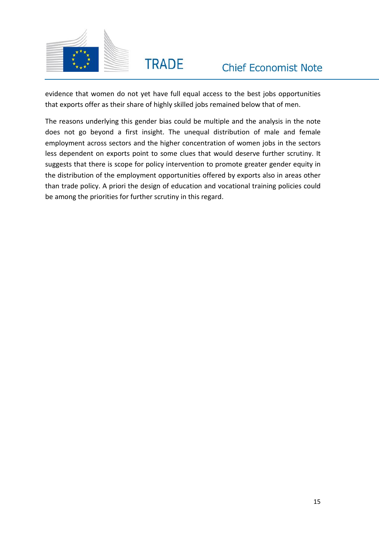

evidence that women do not yet have full equal access to the best jobs opportunities that exports offer as their share of highly skilled jobs remained below that of men.

The reasons underlying this gender bias could be multiple and the analysis in the note does not go beyond a first insight. The unequal distribution of male and female employment across sectors and the higher concentration of women jobs in the sectors less dependent on exports point to some clues that would deserve further scrutiny. It suggests that there is scope for policy intervention to promote greater gender equity in the distribution of the employment opportunities offered by exports also in areas other than trade policy. A priori the design of education and vocational training policies could be among the priorities for further scrutiny in this regard.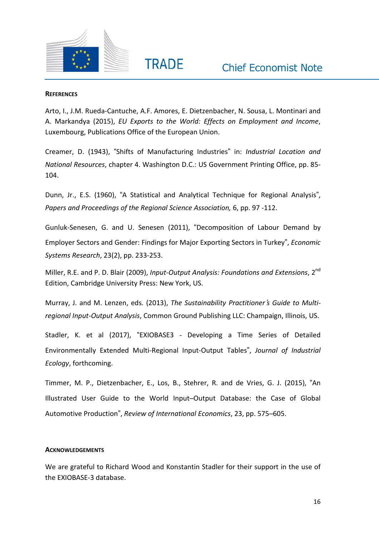

#### **REFERENCES**

Arto, I., J.M. Rueda-Cantuche, A.F. Amores, E. Dietzenbacher, N. Sousa, L. Montinari and A. Markandya (2015), *EU Exports to the World: Effects on Employment and Income*, Luxembourg, Publications Office of the European Union.

**TRADE** 

Creamer, D. (1943), "Shifts of Manufacturing Industries" in: *Industrial Location and National Resources*, chapter 4. Washington D.C.: US Government Printing Office, pp. 85- 104.

Dunn, Jr., E.S. (1960), "A Statistical and Analytical Technique for Regional Analysis", *Papers and Proceedings of the Regional Science Association,* 6, pp. 97 -112.

Gunluk-Senesen, G. and U. Senesen (2011), "Decomposition of Labour Demand by Employer Sectors and Gender: Findings for Major Exporting Sectors in Turkey", *Economic Systems Research*, 23(2), pp. 233-253.

Miller, R.E. and P. D. Blair (2009), *Input-Output Analysis: Foundations and Extensions*, 2 nd Edition, Cambridge University Press: New York, US.

Murray, J. and M. Lenzen, eds. (2013), *The Sustainability Practitioner*'*s Guide to Multiregional Input-Output Analysis*, Common Ground Publishing LLC: Champaign, Illinois, US.

Stadler, K. et al (2017), "EXIOBASE3 - Developing a Time Series of Detailed Environmentally Extended Multi-Regional Input-Output Tables", *Journal of Industrial Ecology*, forthcoming.

Timmer, M. P., Dietzenbacher, E., Los, B., Stehrer, R. and de Vries, G. J. (2015), "An Illustrated User Guide to the World Input–Output Database: the Case of Global Automotive Production", *Review of International Economics*, 23, pp. 575–605.

#### **ACKNOWLEDGEMENTS**

We are grateful to Richard Wood and Konstantin Stadler for their support in the use of the EXIOBASE-3 database.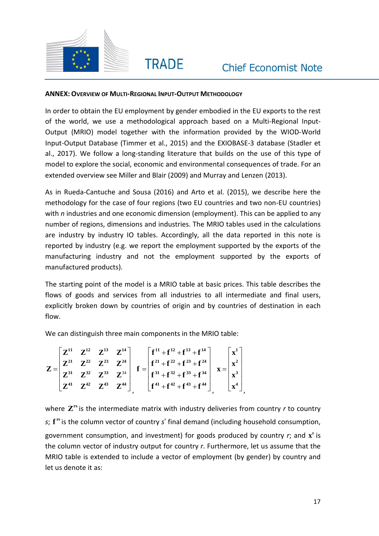

#### **ANNEX: OVERVIEW OF MULTI-REGIONAL INPUT-OUTPUT METHODOLOGY**

**TRADE** 

In order to obtain the EU employment by gender embodied in the EU exports to the rest of the world, we use a methodological approach based on a Multi-Regional Input-Output (MRIO) model together with the information provided by the WIOD-World Input-Output Database (Timmer et al., 2015) and the EXIOBASE-3 database (Stadler et al., 2017). We follow a long-standing literature that builds on the use of this type of model to explore the social, economic and environmental consequences of trade. For an extended overview see Miller and Blair (2009) and Murray and Lenzen (2013).

As in Rueda-Cantuche and Sousa (2016) and Arto et al. (2015), we describe here the methodology for the case of four regions (two EU countries and two non-EU countries) with *n* industries and one economic dimension (employment). This can be applied to any number of regions, dimensions and industries. The MRIO tables used in the calculations are industry by industry IO tables. Accordingly, all the data reported in this note is reported by industry (e.g. we report the employment supported by the exports of the manufacturing industry and not the employment supported by the exports of manufactured products).

The starting point of the model is a MRIO table at basic prices. This table describes the flows of goods and services from all industries to all intermediate and final users, explicitly broken down by countries of origin and by countries of destination in each flow.

We can distinguish three main components in the MRIO table:

$$
Z = \begin{bmatrix} Z^{11} & Z^{12} & Z^{13} & Z^{14} \\ Z^{21} & Z^{22} & Z^{23} & Z^{24} \\ Z^{31} & Z^{32} & Z^{33} & Z^{34} \\ Z^{41} & Z^{42} & Z^{43} & Z^{44} \end{bmatrix}, \quad f = \begin{bmatrix} f^{11} + f^{12} + f^{13} + f^{14} \\ f^{21} + f^{22} + f^{23} + f^{24} \\ f^{31} + f^{32} + f^{33} + f^{34} \\ f^{41} + f^{42} + f^{43} + f^{44} \end{bmatrix}, \quad x = \begin{bmatrix} x^1 \\ x^2 \\ x^3 \\ x^4 \end{bmatrix}
$$

where  $\mathbf{Z}^{\text{rs}}$  is the intermediate matrix with industry deliveries from country *r* to country s;  $f^{rs}$  is the column vector of country *s*' final demand (including household consumption, government consumption, and investment) for goods produced by country r; and  $\mathbf{x}^{\text{r}}$  is the column vector of industry output for country *r*. Furthermore, let us assume that the MRIO table is extended to include a vector of employment (by gender) by country and let us denote it as: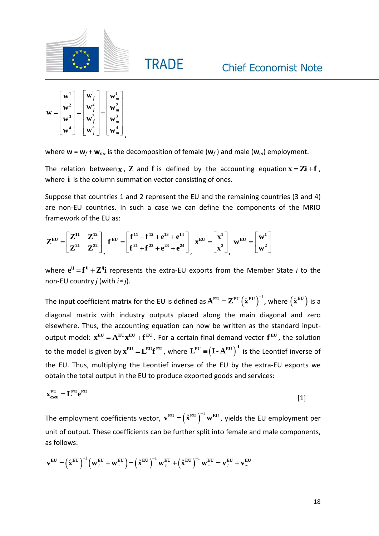



where  $\mathbf{w} = \mathbf{w}_f + \mathbf{w}_m$ , is the decomposition of female  $(\mathbf{w}_f)$  and male  $(\mathbf{w}_m)$  employment.

**TRADE** 

The relation between  $x$ ,  $\mathbf{Z}$  and  $\mathbf{f}$  is defined by the accounting equation  $\mathbf{x} = \mathbf{Zi} + \mathbf{f}$ , where **i** is the column summation vector consisting of ones.

Suppose that countries 1 and 2 represent the EU and the remaining countries (3 and 4) are non-EU countries. In such a case we can define the components of the MRIO framework of the EU as:

$$
Z^{EU}=\begin{bmatrix}Z^{11}&Z^{12}\\ Z^{21}&Z^{22}\end{bmatrix}_f\mathbf{f}^{EU}=\begin{bmatrix}f^{11}+f^{12}+e^{13}+e^{14}\\ f^{21}+f^{22}+e^{23}+e^{24}\end{bmatrix}_f\mathbf{x}^{EU}=\begin{bmatrix}x^1\\ x^2\end{bmatrix}_f\mathbf{w}^{EU}=\begin{bmatrix}\mathbf{w}^1\\ \mathbf{w}^2\end{bmatrix}
$$

where  $\mathbf{e}^{\mathbf{i}\mathbf{j}}=\mathbf{f}^{\mathbf{i}\mathbf{j}}+\mathbf{Z}^{\mathbf{i}\mathbf{j}\mathbf{i}}$  represents the extra-EU exports from the Member State *i* to the non-EU country *j* (with *i j*).

The input coefficient matrix for the EU is defined as  $\mathbf{A}^{\text{\tiny{EU}}}=\mathbf{Z}^{\text{\tiny{EU}}}\big(\hat{\mathbf{x}}^{\text{\tiny{EU}}}\big)^{\!-1}$  , where  $\big(\hat{\mathbf{x}}^{\text{\tiny{EU}}}\big)$  is a diagonal matrix with industry outputs placed along the main diagonal and zero elsewhere. Thus, the accounting equation can now be written as the standard input- $\text{output model: } \mathbf{x}^{\text{EU}} = \mathbf{A}^{\text{EU}} \mathbf{x}^{\text{EU}} + \mathbf{f}^{\text{EU}}$ . For a certain final demand vector  $\mathbf{f}^{\text{EU}}$ , the solution to the model is given by  $\mathbf{x}^\text{EU}=\mathbf{L}^\text{EU}\mathbf{f}^\text{EU}$  , where  $\mathbf{L}^\text{EU}\equiv\!big(\mathbf{I}\cdot\mathbf{A}^\text{EU}\big)^{\!\!-\!1}$  is the Leontief inverse of the EU. Thus, multiplying the Leontief inverse of the EU by the extra-EU exports we obtain the total output in the EU to produce exported goods and services:

$$
\mathbf{x}_{\text{even}}^{\text{EU}} = \mathbf{L}^{\text{EU}} \mathbf{e}^{\text{EU}}
$$

The employment coefficients vector,  $\mathbf{v}^\text{EU} = \bigr(\hat{\mathbf{x}}^\text{EU}\bigr)^{-1}\mathbf{w}^\text{EU}$  , yields the EU employment per unit of output. These coefficients can be further split into female and male components, as follows:

as follows:  
\n
$$
\mathbf{v}^{\mathbf{EU}} = \left(\hat{\mathbf{x}}^{\mathbf{EU}}\right)^{-1} \left(\mathbf{w}_{f}^{\mathbf{EU}} + \mathbf{w}_{m}^{\mathbf{EU}}\right) = \left(\hat{\mathbf{x}}^{\mathbf{EU}}\right)^{-1} \mathbf{w}_{f}^{\mathbf{EU}} + \left(\hat{\mathbf{x}}^{\mathbf{EU}}\right)^{-1} \mathbf{w}_{m}^{\mathbf{EU}} = \mathbf{v}_{f}^{\mathbf{EU}} + \mathbf{v}_{m}^{\mathbf{EU}}
$$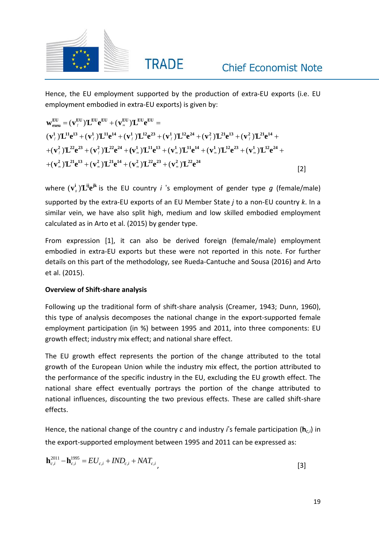

Hence, the EU employment supported by the production of extra-EU exports (i.e. EU employment embodied in extra-EU exports) is given by:

Hence, the LU employment supported by the production of extra-EU exports (i.e. EU  
emboyment embodied in extra-EU exports) is given by:  

$$
\mathbf{w}_{\text{even}}^{\text{EU}} = (\mathbf{v}_{f}^{\text{EU}})^{\text{I}} \mathbf{L}^{\text{EU}} \mathbf{e}^{\text{EU}} + (\mathbf{v}_{m}^{\text{EU}})^{\text{I}} \mathbf{L}^{\text{EU}} \mathbf{e}^{\text{EU}} =
$$

$$
(\mathbf{v}_{f}^1)^{\text{I}} \mathbf{L}^{11} \mathbf{e}^{13} + (\mathbf{v}_{f}^1)^{\text{I}} \mathbf{L}^{11} \mathbf{e}^{14} + (\mathbf{v}_{f}^1)^{\text{I}} \mathbf{L}^{12} \mathbf{e}^{23} + (\mathbf{v}_{f}^1)^{\text{I}} \mathbf{L}^{12} \mathbf{e}^{24} + (\mathbf{v}_{f}^2)^{\text{I}} \mathbf{L}^{21} \mathbf{e}^{13} + (\mathbf{v}_{f}^2)^{\text{I}} \mathbf{L}^{22} \mathbf{e}^{23} + (\mathbf{v}_{f}^1)^{\text{I}} \mathbf{L}^{12} \mathbf{e}^{24} + (\mathbf{v}_{f}^1)^{\text{I}} \mathbf{L}^{12} \mathbf{e}^{24} + (\mathbf{v}_{f}^2)^{\text{I}} \mathbf{L}^{21} \mathbf{e}^{14} + (\mathbf{v}_{f}^2)^{\text{I}} \mathbf{L}^{21} \mathbf{e}^{14} + (\mathbf{v}_{f}^2)^{\text{I}} \mathbf{L}^{22} \mathbf{e}^{24} + (\mathbf{v}_{f}^2)^{\text{I}} \mathbf{L}^{21} \mathbf{e}^{14} + (\mathbf{v}_{f}^2)^{\text{I}} \mathbf{L}^{22} \mathbf{e}^{23} + (\mathbf{v}_{f}^2)^{\text{I}} \mathbf{L}^{22} \mathbf{e}^{24} + (\mathbf{v}_{f}^2)^{\text{I}} \mathbf{L}^{21} \mathbf{e}^{14} + (\mathbf{v}_{f}^2)^{\text{I}} \mathbf{L}^{22} \mathbf{e}^{24} + (\mathbf{v}_{f}^2)^{\text{I
$$

where  $(\mathbf{v}_s^i) \mathbf{L}^{ij} \mathbf{e}^{jk}$  is the EU country *i* 's employment of gender type g (female/male) supported by the extra-EU exports of an EU Member State *j* to a non-EU country *k*. In a similar vein, we have also split high, medium and low skilled embodied employment calculated as in Arto et al. (2015) by gender type.

From expression [1], it can also be derived foreign (female/male) employment embodied in extra-EU exports but these were not reported in this note. For further details on this part of the methodology, see Rueda-Cantuche and Sousa (2016) and Arto et al. (2015).

### **Overview of Shift-share analysis**

Following up the traditional form of shift-share analysis (Creamer, 1943; Dunn, 1960), this type of analysis decomposes the national change in the export-supported female employment participation (in %) between 1995 and 2011, into three components: EU growth effect; industry mix effect; and national share effect.

The EU growth effect represents the portion of the change attributed to the total growth of the European Union while the industry mix effect, the portion attributed to the performance of the specific industry in the EU, excluding the EU growth effect. The national share effect eventually portrays the portion of the change attributed to national influences, discounting the two previous effects. These are called shift-share effects.

Hence, the national change of the country *c* and industry *i*'s female participation (**h***c,i*) in the export-supported employment between 1995 and 2011 can be expressed as:

$$
\mathbf{h}_{c,i}^{2011} - \mathbf{h}_{c,i}^{1995} = EU_{c,i} + IND_{c,i} + NAT_{c,i},
$$
\n[3]